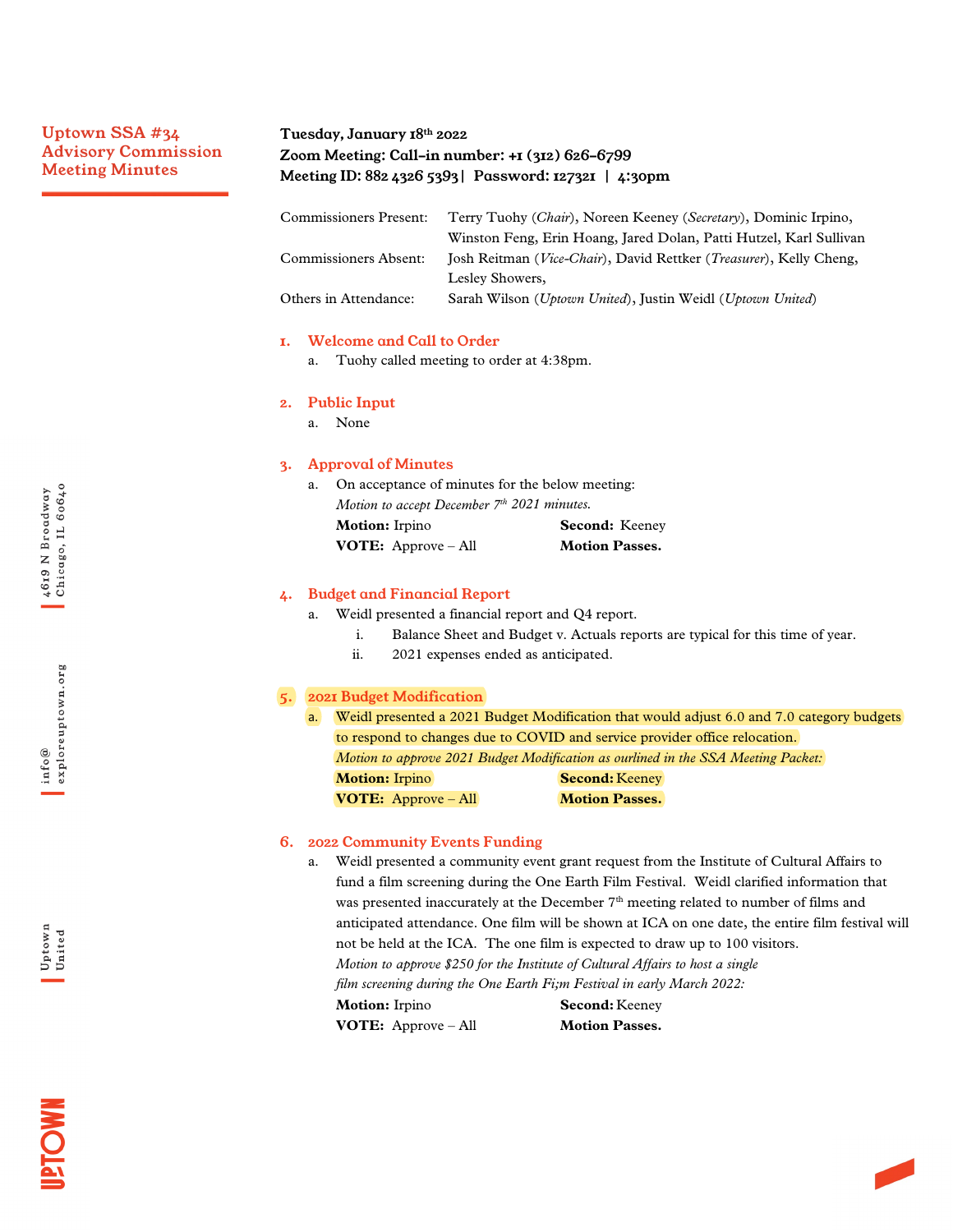# Uptown SSA #34 Advisory Commission Meeting Minutes

# Tuesday, January 18th 2022 Zoom Meeting: Call-in number: +1 (312) 626-6799 Meeting ID: 882 4326 5393| Password: 127321 | 4:30pm

| <b>Commissioners Present:</b> | Terry Tuohy ( <i>Chair</i> ), Noreen Keeney ( <i>Secretary</i> ), Dominic Irpino,    |
|-------------------------------|--------------------------------------------------------------------------------------|
|                               | Winston Feng, Erin Hoang, Jared Dolan, Patti Hutzel, Karl Sullivan                   |
| Commissioners Absent:         | Josh Reitman ( <i>Vice-Chair</i> ), David Rettker ( <i>Treasurer</i> ), Kelly Cheng, |
|                               | Lesley Showers,                                                                      |
| Others in Attendance:         | Sarah Wilson (Uptown United), Justin Weidl (Uptown United)                           |

## 1. Welcome and Call to Order

a. Tuohy called meeting to order at 4:38pm.

### 2. Public Input

a. None

#### 3. Approval of Minutes

a. On acceptance of minutes for the below meeting: *Motion to accept December 7th 2021 minutes.* **Motion:** Irpino **Second:** Keeney **VOTE:** Approve – All **Motion Passes.** 

#### 4. Budget and Financial Report

- a. Weidl presented a financial report and Q4 report.
	- i. Balance Sheet and Budget v. Actuals reports are typical for this time of year.
	- ii. 2021 expenses ended as anticipated.

## 5. 2021 Budget Modification

a. Weidl presented a 2021 Budget Modification that would adjust 6.0 and 7.0 category budgets to respond to changes due to COVID and service provider office relocation. *Motion to approve 2021 Budget Modification as ourlined in the SSA Meeting Packet:* **Motion:** Irpino **Second:** Keeney **VOTE:** Approve – All **Motion Passes.** 

#### 6. 2022 Community Events Funding

a. Weidl presented a community event grant request from the Institute of Cultural Affairs to fund a film screening during the One Earth Film Festival. Weidl clarified information that was presented inaccurately at the December  $7<sup>th</sup>$  meeting related to number of films and anticipated attendance. One film will be shown at ICA on one date, the entire film festival will not be held at the ICA. The one film is expected to draw up to 100 visitors. *Motion to approve \$250 for the Institute of Cultural Affairs to host a single film screening during the One Earth Fi;m Festival in early March 2022:* **Motion:** Irpino **Second:** Keeney **VOTE:** Approve – All **Motion Passes.**